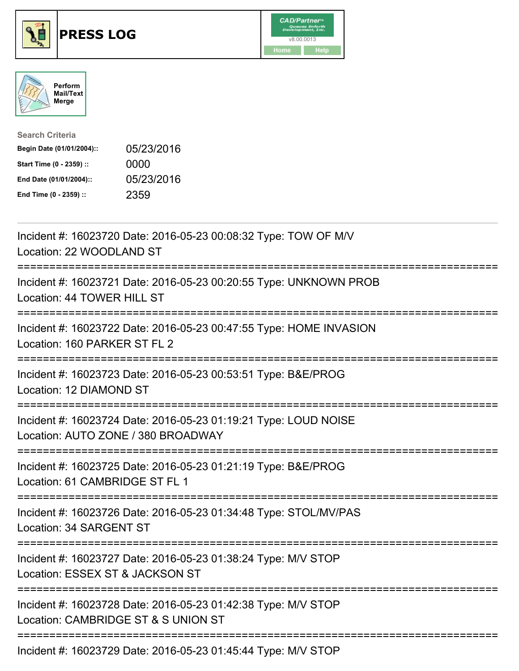





| <b>Search Criteria</b>    |            |
|---------------------------|------------|
| Begin Date (01/01/2004):: | 05/23/2016 |
| Start Time (0 - 2359) ::  | 0000       |
| End Date (01/01/2004)::   | 05/23/2016 |
| End Time (0 - 2359) ::    | 2359       |

| Incident #: 16023720 Date: 2016-05-23 00:08:32 Type: TOW OF M/V<br>Location: 22 WOODLAND ST                                         |
|-------------------------------------------------------------------------------------------------------------------------------------|
| Incident #: 16023721 Date: 2016-05-23 00:20:55 Type: UNKNOWN PROB<br>Location: 44 TOWER HILL ST                                     |
| Incident #: 16023722 Date: 2016-05-23 00:47:55 Type: HOME INVASION<br>Location: 160 PARKER ST FL 2                                  |
| Incident #: 16023723 Date: 2016-05-23 00:53:51 Type: B&E/PROG<br>Location: 12 DIAMOND ST                                            |
| Incident #: 16023724 Date: 2016-05-23 01:19:21 Type: LOUD NOISE<br>Location: AUTO ZONE / 380 BROADWAY<br>========================== |
| Incident #: 16023725 Date: 2016-05-23 01:21:19 Type: B&E/PROG<br>Location: 61 CAMBRIDGE ST FL 1<br>========================         |
| Incident #: 16023726 Date: 2016-05-23 01:34:48 Type: STOL/MV/PAS<br>Location: 34 SARGENT ST                                         |
| Incident #: 16023727 Date: 2016-05-23 01:38:24 Type: M/V STOP<br>Location: ESSEX ST & JACKSON ST<br>:==========================     |
| Incident #: 16023728 Date: 2016-05-23 01:42:38 Type: M/V STOP<br>Location: CAMBRIDGE ST & S UNION ST                                |
| Incident #: 16023729 Date: 2016-05-23 01:45:44 Type: M/V STOP                                                                       |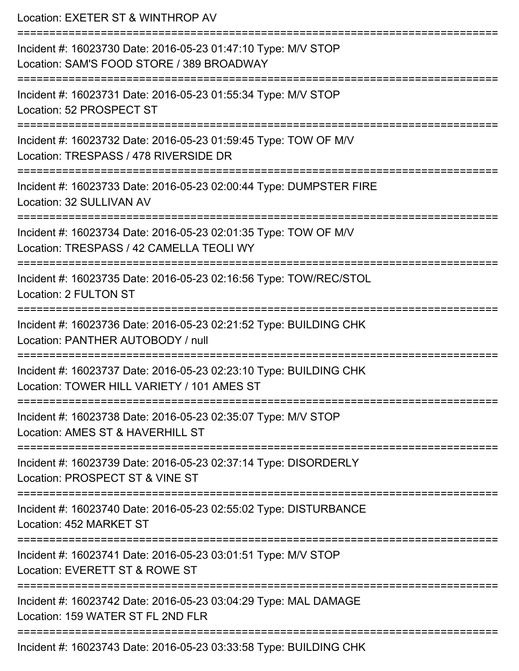Location: EXETER ST & WINTHROP AV =========================================================================== Incident #: 16023730 Date: 2016-05-23 01:47:10 Type: M/V STOP Location: SAM'S FOOD STORE / 389 BROADWAY =========================================================================== Incident #: 16023731 Date: 2016-05-23 01:55:34 Type: M/V STOP Location: 52 PROSPECT ST =========================================================================== Incident #: 16023732 Date: 2016-05-23 01:59:45 Type: TOW OF M/V Location: TRESPASS / 478 RIVERSIDE DR =========================================================================== Incident #: 16023733 Date: 2016-05-23 02:00:44 Type: DUMPSTER FIRE Location: 32 SULLIVAN AV =========================================================================== Incident #: 16023734 Date: 2016-05-23 02:01:35 Type: TOW OF M/V Location: TRESPASS / 42 CAMELLA TEOLI WY =========================================================================== Incident #: 16023735 Date: 2016-05-23 02:16:56 Type: TOW/REC/STOL Location: 2 FULTON ST =========================================================================== Incident #: 16023736 Date: 2016-05-23 02:21:52 Type: BUILDING CHK Location: PANTHER AUTOBODY / null =========================================================================== Incident #: 16023737 Date: 2016-05-23 02:23:10 Type: BUILDING CHK Location: TOWER HILL VARIETY / 101 AMES ST =========================================================================== Incident #: 16023738 Date: 2016-05-23 02:35:07 Type: M/V STOP Location: AMES ST & HAVERHILL ST =========================================================================== Incident #: 16023739 Date: 2016-05-23 02:37:14 Type: DISORDERLY Location: PROSPECT ST & VINE ST =========================================================================== Incident #: 16023740 Date: 2016-05-23 02:55:02 Type: DISTURBANCE Location: 452 MARKET ST =========================================================================== Incident #: 16023741 Date: 2016-05-23 03:01:51 Type: M/V STOP Location: EVERETT ST & ROWE ST =========================================================================== Incident #: 16023742 Date: 2016-05-23 03:04:29 Type: MAL DAMAGE Location: 159 WATER ST FL 2ND FLR ===========================================================================

Incident #: 16023743 Date: 2016-05-23 03:33:58 Type: BUILDING CHK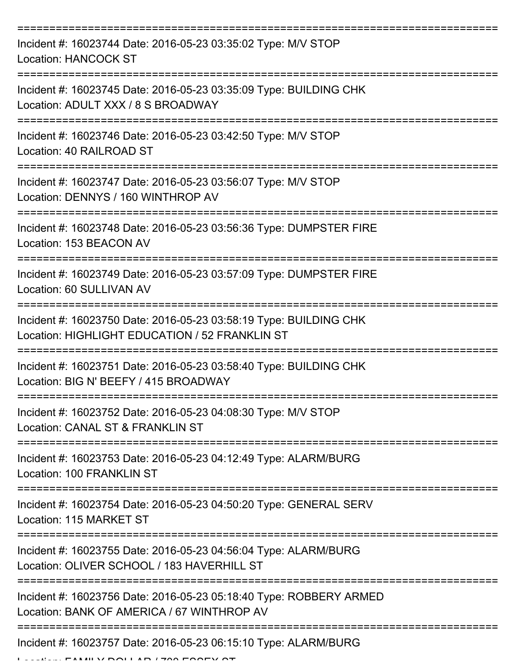| Incident #: 16023744 Date: 2016-05-23 03:35:02 Type: M/V STOP<br><b>Location: HANCOCK ST</b>                        |
|---------------------------------------------------------------------------------------------------------------------|
| Incident #: 16023745 Date: 2016-05-23 03:35:09 Type: BUILDING CHK<br>Location: ADULT XXX / 8 S BROADWAY             |
| Incident #: 16023746 Date: 2016-05-23 03:42:50 Type: M/V STOP<br>Location: 40 RAILROAD ST                           |
| Incident #: 16023747 Date: 2016-05-23 03:56:07 Type: M/V STOP<br>Location: DENNYS / 160 WINTHROP AV                 |
| Incident #: 16023748 Date: 2016-05-23 03:56:36 Type: DUMPSTER FIRE<br>Location: 153 BEACON AV                       |
| Incident #: 16023749 Date: 2016-05-23 03:57:09 Type: DUMPSTER FIRE<br>Location: 60 SULLIVAN AV                      |
| Incident #: 16023750 Date: 2016-05-23 03:58:19 Type: BUILDING CHK<br>Location: HIGHLIGHT EDUCATION / 52 FRANKLIN ST |
| Incident #: 16023751 Date: 2016-05-23 03:58:40 Type: BUILDING CHK<br>Location: BIG N' BEEFY / 415 BROADWAY          |
| Incident #: 16023752 Date: 2016-05-23 04:08:30 Type: M/V STOP<br>Location: CANAL ST & FRANKLIN ST                   |
| Incident #: 16023753 Date: 2016-05-23 04:12:49 Type: ALARM/BURG<br><b>Location: 100 FRANKLIN ST</b>                 |
| Incident #: 16023754 Date: 2016-05-23 04:50:20 Type: GENERAL SERV<br>Location: 115 MARKET ST                        |
| Incident #: 16023755 Date: 2016-05-23 04:56:04 Type: ALARM/BURG<br>Location: OLIVER SCHOOL / 183 HAVERHILL ST       |
| Incident #: 16023756 Date: 2016-05-23 05:18:40 Type: ROBBERY ARMED<br>Location: BANK OF AMERICA / 67 WINTHROP AV    |
| Incident #: 16023757 Date: 2016-05-23 06:15:10 Type: ALARM/BURG                                                     |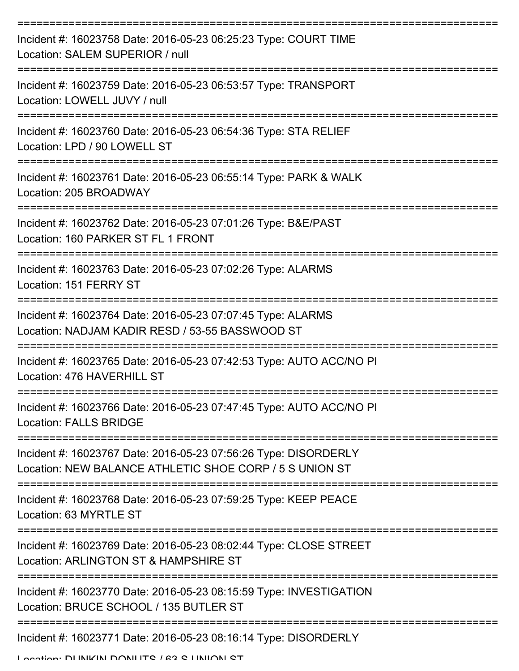| Incident #: 16023758 Date: 2016-05-23 06:25:23 Type: COURT TIME<br>Location: SALEM SUPERIOR / null                         |
|----------------------------------------------------------------------------------------------------------------------------|
| Incident #: 16023759 Date: 2016-05-23 06:53:57 Type: TRANSPORT<br>Location: LOWELL JUVY / null                             |
| Incident #: 16023760 Date: 2016-05-23 06:54:36 Type: STA RELIEF<br>Location: LPD / 90 LOWELL ST                            |
| Incident #: 16023761 Date: 2016-05-23 06:55:14 Type: PARK & WALK<br>Location: 205 BROADWAY                                 |
| Incident #: 16023762 Date: 2016-05-23 07:01:26 Type: B&E/PAST<br>Location: 160 PARKER ST FL 1 FRONT                        |
| Incident #: 16023763 Date: 2016-05-23 07:02:26 Type: ALARMS<br>Location: 151 FERRY ST                                      |
| Incident #: 16023764 Date: 2016-05-23 07:07:45 Type: ALARMS<br>Location: NADJAM KADIR RESD / 53-55 BASSWOOD ST             |
| Incident #: 16023765 Date: 2016-05-23 07:42:53 Type: AUTO ACC/NO PI<br>Location: 476 HAVERHILL ST                          |
| Incident #: 16023766 Date: 2016-05-23 07:47:45 Type: AUTO ACC/NO PI<br><b>Location: FALLS BRIDGE</b>                       |
| Incident #: 16023767 Date: 2016-05-23 07:56:26 Type: DISORDERLY<br>Location: NEW BALANCE ATHLETIC SHOE CORP / 5 S UNION ST |
| Incident #: 16023768 Date: 2016-05-23 07:59:25 Type: KEEP PEACE<br>Location: 63 MYRTLE ST                                  |
| Incident #: 16023769 Date: 2016-05-23 08:02:44 Type: CLOSE STREET<br>Location: ARLINGTON ST & HAMPSHIRE ST                 |
| Incident #: 16023770 Date: 2016-05-23 08:15:59 Type: INVESTIGATION<br>Location: BRUCE SCHOOL / 135 BUTLER ST               |
| Incident #: 16023771 Date: 2016-05-23 08:16:14 Type: DISORDERLY                                                            |

Location: DHINIKINI DONILITO / 63 O HINIIONI OT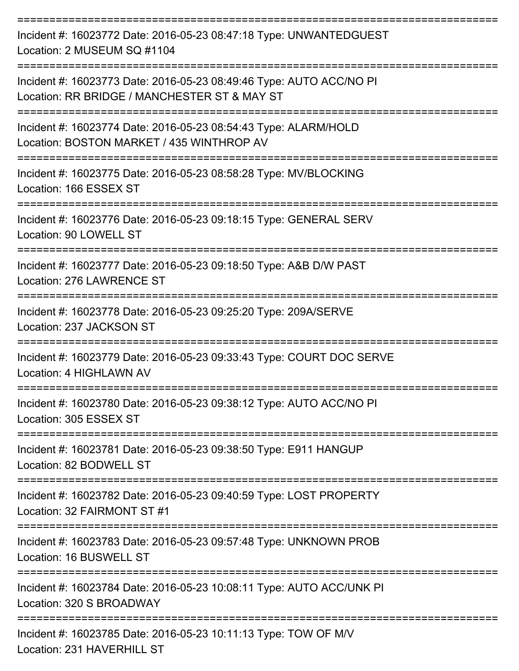| Incident #: 16023772 Date: 2016-05-23 08:47:18 Type: UNWANTEDGUEST<br>Location: 2 MUSEUM SQ #1104                   |
|---------------------------------------------------------------------------------------------------------------------|
| Incident #: 16023773 Date: 2016-05-23 08:49:46 Type: AUTO ACC/NO PI<br>Location: RR BRIDGE / MANCHESTER ST & MAY ST |
| Incident #: 16023774 Date: 2016-05-23 08:54:43 Type: ALARM/HOLD<br>Location: BOSTON MARKET / 435 WINTHROP AV        |
| Incident #: 16023775 Date: 2016-05-23 08:58:28 Type: MV/BLOCKING<br>Location: 166 ESSEX ST                          |
| Incident #: 16023776 Date: 2016-05-23 09:18:15 Type: GENERAL SERV<br>Location: 90 LOWELL ST                         |
| Incident #: 16023777 Date: 2016-05-23 09:18:50 Type: A&B D/W PAST<br>Location: 276 LAWRENCE ST                      |
| Incident #: 16023778 Date: 2016-05-23 09:25:20 Type: 209A/SERVE<br>Location: 237 JACKSON ST                         |
| Incident #: 16023779 Date: 2016-05-23 09:33:43 Type: COURT DOC SERVE<br>Location: 4 HIGHLAWN AV                     |
| Incident #: 16023780 Date: 2016-05-23 09:38:12 Type: AUTO ACC/NO PI<br>Location: 305 ESSEX ST                       |
| ----------------<br>Incident #: 16023781 Date: 2016-05-23 09:38:50 Type: E911 HANGUP<br>Location: 82 BODWELL ST     |
| Incident #: 16023782 Date: 2016-05-23 09:40:59 Type: LOST PROPERTY<br>Location: 32 FAIRMONT ST #1                   |
| Incident #: 16023783 Date: 2016-05-23 09:57:48 Type: UNKNOWN PROB<br>Location: 16 BUSWELL ST                        |
| Incident #: 16023784 Date: 2016-05-23 10:08:11 Type: AUTO ACC/UNK PI<br>Location: 320 S BROADWAY                    |
| Incident #: 16023785 Date: 2016-05-23 10:11:13 Type: TOW OF M/V<br>Location: 231 HAVERHILL ST                       |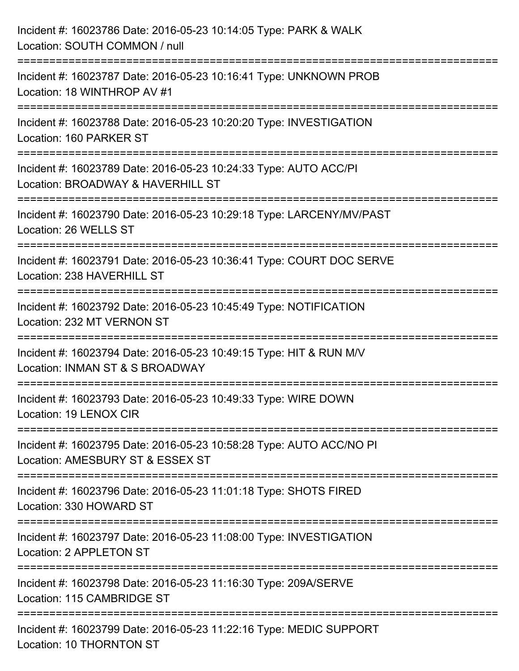| Incident #: 16023786 Date: 2016-05-23 10:14:05 Type: PARK & WALK<br>Location: SOUTH COMMON / null                                    |
|--------------------------------------------------------------------------------------------------------------------------------------|
| ================================<br>Incident #: 16023787 Date: 2016-05-23 10:16:41 Type: UNKNOWN PROB<br>Location: 18 WINTHROP AV #1 |
| ----------------<br>Incident #: 16023788 Date: 2016-05-23 10:20:20 Type: INVESTIGATION<br>Location: 160 PARKER ST                    |
| Incident #: 16023789 Date: 2016-05-23 10:24:33 Type: AUTO ACC/PI<br>Location: BROADWAY & HAVERHILL ST<br>======================      |
| Incident #: 16023790 Date: 2016-05-23 10:29:18 Type: LARCENY/MV/PAST<br>Location: 26 WELLS ST                                        |
| Incident #: 16023791 Date: 2016-05-23 10:36:41 Type: COURT DOC SERVE<br>Location: 238 HAVERHILL ST                                   |
| Incident #: 16023792 Date: 2016-05-23 10:45:49 Type: NOTIFICATION<br>Location: 232 MT VERNON ST                                      |
| Incident #: 16023794 Date: 2016-05-23 10:49:15 Type: HIT & RUN M/V<br>Location: INMAN ST & S BROADWAY                                |
| Incident #: 16023793 Date: 2016-05-23 10:49:33 Type: WIRE DOWN<br>Location: 19 LENOX CIR                                             |
| Incident #: 16023795 Date: 2016-05-23 10:58:28 Type: AUTO ACC/NO PI<br>Location: AMESBURY ST & ESSEX ST                              |
| Incident #: 16023796 Date: 2016-05-23 11:01:18 Type: SHOTS FIRED<br>Location: 330 HOWARD ST                                          |
| Incident #: 16023797 Date: 2016-05-23 11:08:00 Type: INVESTIGATION<br>Location: 2 APPLETON ST                                        |
| Incident #: 16023798 Date: 2016-05-23 11:16:30 Type: 209A/SERVE<br>Location: 115 CAMBRIDGE ST                                        |
| Incident #: 16023799 Date: 2016-05-23 11:22:16 Type: MEDIC SUPPORT<br>Location: 10 THORNTON ST                                       |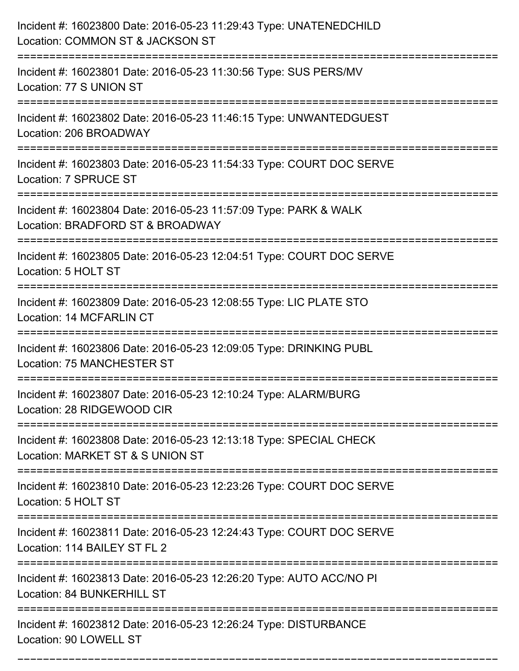| Incident #: 16023800 Date: 2016-05-23 11:29:43 Type: UNATENEDCHILD<br>Location: COMMON ST & JACKSON ST                              |
|-------------------------------------------------------------------------------------------------------------------------------------|
| Incident #: 16023801 Date: 2016-05-23 11:30:56 Type: SUS PERS/MV<br>Location: 77 S UNION ST                                         |
| Incident #: 16023802 Date: 2016-05-23 11:46:15 Type: UNWANTEDGUEST<br>Location: 206 BROADWAY                                        |
| Incident #: 16023803 Date: 2016-05-23 11:54:33 Type: COURT DOC SERVE<br>Location: 7 SPRUCE ST                                       |
| Incident #: 16023804 Date: 2016-05-23 11:57:09 Type: PARK & WALK<br>Location: BRADFORD ST & BROADWAY                                |
| Incident #: 16023805 Date: 2016-05-23 12:04:51 Type: COURT DOC SERVE<br>Location: 5 HOLT ST                                         |
| Incident #: 16023809 Date: 2016-05-23 12:08:55 Type: LIC PLATE STO<br>Location: 14 MCFARLIN CT                                      |
| Incident #: 16023806 Date: 2016-05-23 12:09:05 Type: DRINKING PUBL<br>Location: 75 MANCHESTER ST                                    |
| Incident #: 16023807 Date: 2016-05-23 12:10:24 Type: ALARM/BURG<br>Location: 28 RIDGEWOOD CIR                                       |
| Incident #: 16023808 Date: 2016-05-23 12:13:18 Type: SPECIAL CHECK<br>Location: MARKET ST & S UNION ST                              |
| Incident #: 16023810 Date: 2016-05-23 12:23:26 Type: COURT DOC SERVE<br>Location: 5 HOLT ST                                         |
| Incident #: 16023811 Date: 2016-05-23 12:24:43 Type: COURT DOC SERVE<br>Location: 114 BAILEY ST FL 2<br>--------------------------- |
| Incident #: 16023813 Date: 2016-05-23 12:26:20 Type: AUTO ACC/NO PI<br>Location: 84 BUNKERHILL ST                                   |
| Incident #: 16023812 Date: 2016-05-23 12:26:24 Type: DISTURBANCE<br>Location: 90 LOWELL ST                                          |

===========================================================================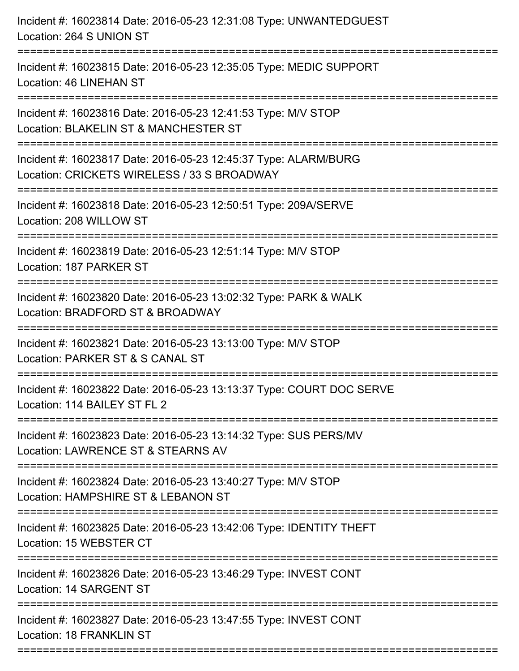| Incident #: 16023814 Date: 2016-05-23 12:31:08 Type: UNWANTEDGUEST<br>Location: 264 S UNION ST                                          |
|-----------------------------------------------------------------------------------------------------------------------------------------|
| =====================<br>Incident #: 16023815 Date: 2016-05-23 12:35:05 Type: MEDIC SUPPORT<br>Location: 46 LINEHAN ST                  |
| Incident #: 16023816 Date: 2016-05-23 12:41:53 Type: M/V STOP<br>Location: BLAKELIN ST & MANCHESTER ST<br>============================= |
| Incident #: 16023817 Date: 2016-05-23 12:45:37 Type: ALARM/BURG<br>Location: CRICKETS WIRELESS / 33 S BROADWAY<br>:==================   |
| Incident #: 16023818 Date: 2016-05-23 12:50:51 Type: 209A/SERVE<br>Location: 208 WILLOW ST                                              |
| Incident #: 16023819 Date: 2016-05-23 12:51:14 Type: M/V STOP<br>Location: 187 PARKER ST                                                |
| Incident #: 16023820 Date: 2016-05-23 13:02:32 Type: PARK & WALK<br>Location: BRADFORD ST & BROADWAY                                    |
| Incident #: 16023821 Date: 2016-05-23 13:13:00 Type: M/V STOP<br>Location: PARKER ST & S CANAL ST                                       |
| Incident #: 16023822 Date: 2016-05-23 13:13:37 Type: COURT DOC SERVE<br>Location: 114 BAILEY ST FL 2                                    |
| Incident #: 16023823 Date: 2016-05-23 13:14:32 Type: SUS PERS/MV<br>Location: LAWRENCE ST & STEARNS AV                                  |
| Incident #: 16023824 Date: 2016-05-23 13:40:27 Type: M/V STOP<br>Location: HAMPSHIRE ST & LEBANON ST                                    |
| Incident #: 16023825 Date: 2016-05-23 13:42:06 Type: IDENTITY THEFT<br>Location: 15 WEBSTER CT                                          |
| Incident #: 16023826 Date: 2016-05-23 13:46:29 Type: INVEST CONT<br>Location: 14 SARGENT ST                                             |
| Incident #: 16023827 Date: 2016-05-23 13:47:55 Type: INVEST CONT<br>Location: 18 FRANKLIN ST                                            |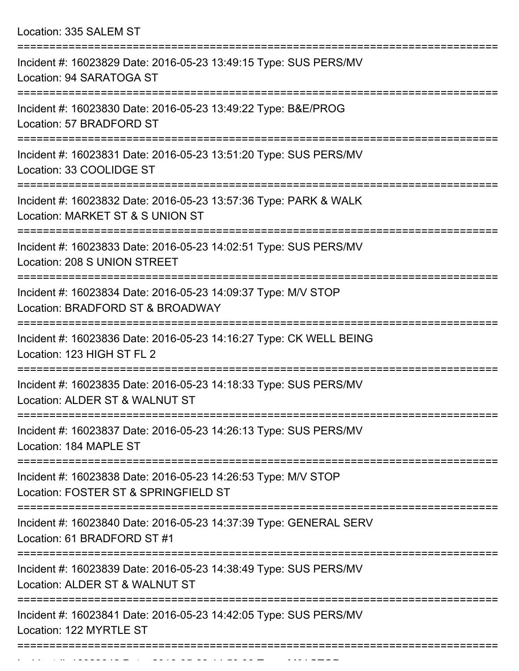Location: 335 SALEM ST

| Incident #: 16023829 Date: 2016-05-23 13:49:15 Type: SUS PERS/MV<br>Location: 94 SARATOGA ST                                 |
|------------------------------------------------------------------------------------------------------------------------------|
| Incident #: 16023830 Date: 2016-05-23 13:49:22 Type: B&E/PROG<br>Location: 57 BRADFORD ST                                    |
| Incident #: 16023831 Date: 2016-05-23 13:51:20 Type: SUS PERS/MV<br>Location: 33 COOLIDGE ST                                 |
| Incident #: 16023832 Date: 2016-05-23 13:57:36 Type: PARK & WALK<br>Location: MARKET ST & S UNION ST                         |
| Incident #: 16023833 Date: 2016-05-23 14:02:51 Type: SUS PERS/MV<br>Location: 208 S UNION STREET                             |
| Incident #: 16023834 Date: 2016-05-23 14:09:37 Type: M/V STOP<br>Location: BRADFORD ST & BROADWAY                            |
| Incident #: 16023836 Date: 2016-05-23 14:16:27 Type: CK WELL BEING<br>Location: 123 HIGH ST FL 2                             |
| Incident #: 16023835 Date: 2016-05-23 14:18:33 Type: SUS PERS/MV<br>Location: ALDER ST & WALNUT ST                           |
| Incident #: 16023837 Date: 2016-05-23 14:26:13 Type: SUS PERS/MV<br>Location: 184 MAPLE ST                                   |
| ===================<br>Incident #: 16023838 Date: 2016-05-23 14:26:53 Type: M/V STOP<br>Location: FOSTER ST & SPRINGFIELD ST |
| Incident #: 16023840 Date: 2016-05-23 14:37:39 Type: GENERAL SERV<br>Location: 61 BRADFORD ST #1                             |
| Incident #: 16023839 Date: 2016-05-23 14:38:49 Type: SUS PERS/MV<br>Location: ALDER ST & WALNUT ST                           |
| Incident #: 16023841 Date: 2016-05-23 14:42:05 Type: SUS PERS/MV<br>Location: 122 MYRTLE ST                                  |
|                                                                                                                              |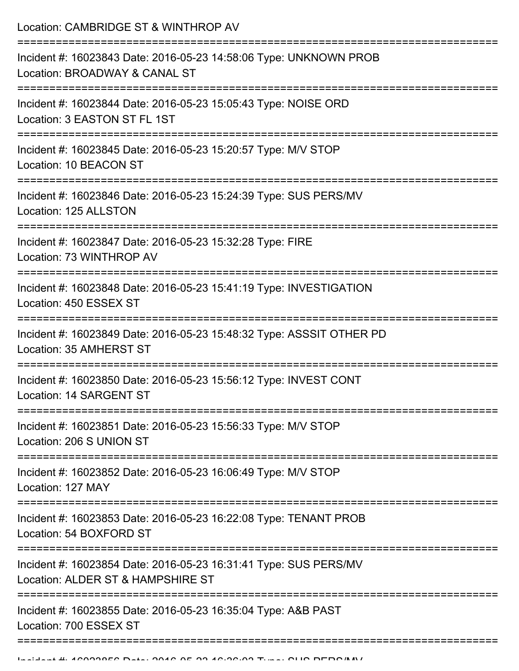Location: CAMBRIDGE ST & WINTHROP AV

| Incident #: 16023843 Date: 2016-05-23 14:58:06 Type: UNKNOWN PROB<br>Location: BROADWAY & CANAL ST                                                                      |
|-------------------------------------------------------------------------------------------------------------------------------------------------------------------------|
| Incident #: 16023844 Date: 2016-05-23 15:05:43 Type: NOISE ORD<br>Location: 3 EASTON ST FL 1ST                                                                          |
| Incident #: 16023845 Date: 2016-05-23 15:20:57 Type: M/V STOP<br>Location: 10 BEACON ST                                                                                 |
| Incident #: 16023846 Date: 2016-05-23 15:24:39 Type: SUS PERS/MV<br>Location: 125 ALLSTON                                                                               |
| Incident #: 16023847 Date: 2016-05-23 15:32:28 Type: FIRE<br>Location: 73 WINTHROP AV                                                                                   |
| Incident #: 16023848 Date: 2016-05-23 15:41:19 Type: INVESTIGATION<br>Location: 450 ESSEX ST                                                                            |
| Incident #: 16023849 Date: 2016-05-23 15:48:32 Type: ASSSIT OTHER PD<br>Location: 35 AMHERST ST                                                                         |
| Incident #: 16023850 Date: 2016-05-23 15:56:12 Type: INVEST CONT<br>Location: 14 SARGENT ST                                                                             |
| Incident #: 16023851 Date: 2016-05-23 15:56:33 Type: M/V STOP<br>Location: 206 S UNION ST                                                                               |
| Incident #: 16023852 Date: 2016-05-23 16:06:49 Type: M/V STOP<br>Location: 127 MAY                                                                                      |
| Incident #: 16023853 Date: 2016-05-23 16:22:08 Type: TENANT PROB<br>Location: 54 BOXFORD ST                                                                             |
| --------------------<br>--------------------------------------<br>Incident #: 16023854 Date: 2016-05-23 16:31:41 Type: SUS PERS/MV<br>Location: ALDER ST & HAMPSHIRE ST |
| Incident #: 16023855 Date: 2016-05-23 16:35:04 Type: A&B PAST<br>Location: 700 ESSEX ST                                                                                 |
|                                                                                                                                                                         |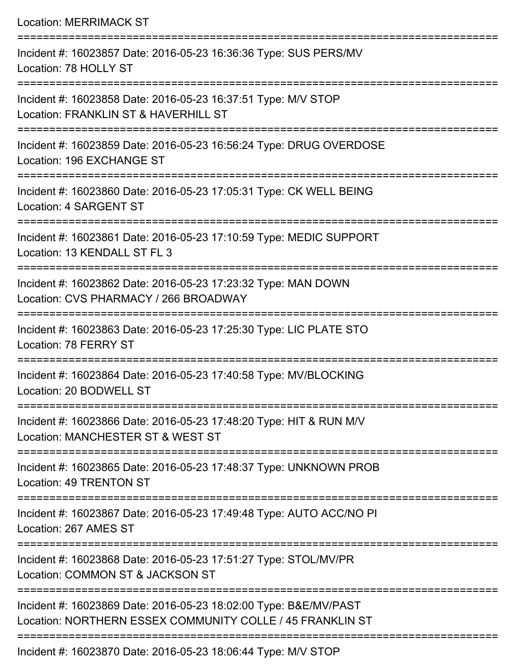Location: MERRIMACK ST

=========================================================================== Incident #: 16023857 Date: 2016-05-23 16:36:36 Type: SUS PERS/MV Location: 78 HOLLY ST =========================================================================== Incident #: 16023858 Date: 2016-05-23 16:37:51 Type: M/V STOP Location: FRANKLIN ST & HAVERHILL ST =========================================================================== Incident #: 16023859 Date: 2016-05-23 16:56:24 Type: DRUG OVERDOSE Location: 196 EXCHANGE ST =========================================================================== Incident #: 16023860 Date: 2016-05-23 17:05:31 Type: CK WELL BEING Location: 4 SARGENT ST =========================================================================== Incident #: 16023861 Date: 2016-05-23 17:10:59 Type: MEDIC SUPPORT Location: 13 KENDALL ST FL 3 =========================================================================== Incident #: 16023862 Date: 2016-05-23 17:23:32 Type: MAN DOWN Location: CVS PHARMACY / 266 BROADWAY =========================================================================== Incident #: 16023863 Date: 2016-05-23 17:25:30 Type: LIC PLATE STO Location: 78 FERRY ST =========================================================================== Incident #: 16023864 Date: 2016-05-23 17:40:58 Type: MV/BLOCKING Location: 20 BODWELL ST =========================================================================== Incident #: 16023866 Date: 2016-05-23 17:48:20 Type: HIT & RUN M/V Location: MANCHESTER ST & WEST ST =========================================================================== Incident #: 16023865 Date: 2016-05-23 17:48:37 Type: UNKNOWN PROB Location: 49 TRENTON ST =========================================================================== Incident #: 16023867 Date: 2016-05-23 17:49:48 Type: AUTO ACC/NO PI Location: 267 AMES ST =========================================================================== Incident #: 16023868 Date: 2016-05-23 17:51:27 Type: STOL/MV/PR Location: COMMON ST & JACKSON ST =========================================================================== Incident #: 16023869 Date: 2016-05-23 18:02:00 Type: B&E/MV/PAST Location: NORTHERN ESSEX COMMUNITY COLLE / 45 FRANKLIN ST ===========================================================================

Incident #: 16023870 Date: 2016-05-23 18:06:44 Type: M/V STOP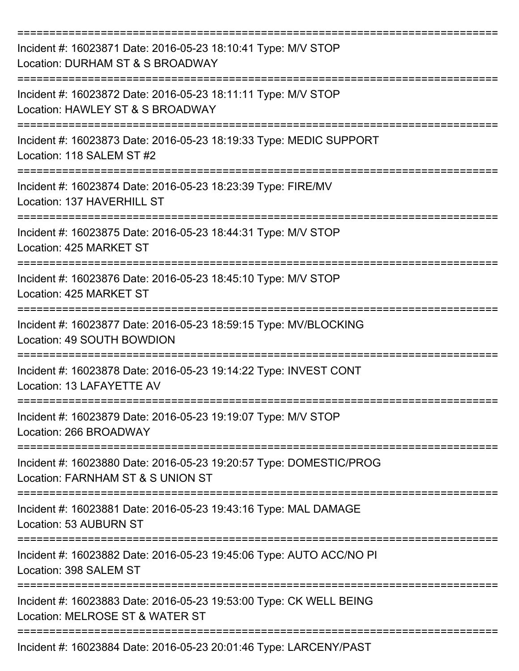| Incident #: 16023871 Date: 2016-05-23 18:10:41 Type: M/V STOP<br>Location: DURHAM ST & S BROADWAY            |
|--------------------------------------------------------------------------------------------------------------|
| Incident #: 16023872 Date: 2016-05-23 18:11:11 Type: M/V STOP<br>Location: HAWLEY ST & S BROADWAY            |
| Incident #: 16023873 Date: 2016-05-23 18:19:33 Type: MEDIC SUPPORT<br>Location: 118 SALEM ST #2              |
| Incident #: 16023874 Date: 2016-05-23 18:23:39 Type: FIRE/MV<br>Location: 137 HAVERHILL ST                   |
| Incident #: 16023875 Date: 2016-05-23 18:44:31 Type: M/V STOP<br>Location: 425 MARKET ST                     |
| Incident #: 16023876 Date: 2016-05-23 18:45:10 Type: M/V STOP<br>Location: 425 MARKET ST                     |
| Incident #: 16023877 Date: 2016-05-23 18:59:15 Type: MV/BLOCKING<br>Location: 49 SOUTH BOWDION<br>========== |
| Incident #: 16023878 Date: 2016-05-23 19:14:22 Type: INVEST CONT<br>Location: 13 LAFAYETTE AV                |
| Incident #: 16023879 Date: 2016-05-23 19:19:07 Type: M/V STOP<br>Location: 266 BROADWAY                      |
| Incident #: 16023880 Date: 2016-05-23 19:20:57 Type: DOMESTIC/PROG<br>Location: FARNHAM ST & S UNION ST      |
| Incident #: 16023881 Date: 2016-05-23 19:43:16 Type: MAL DAMAGE<br>Location: 53 AUBURN ST                    |
| Incident #: 16023882 Date: 2016-05-23 19:45:06 Type: AUTO ACC/NO PI<br>Location: 398 SALEM ST                |
| Incident #: 16023883 Date: 2016-05-23 19:53:00 Type: CK WELL BEING<br>Location: MELROSE ST & WATER ST        |
| Incident #: 16023884 Date: 2016-05-23 20:01:46 Type: LARCENY/PAST                                            |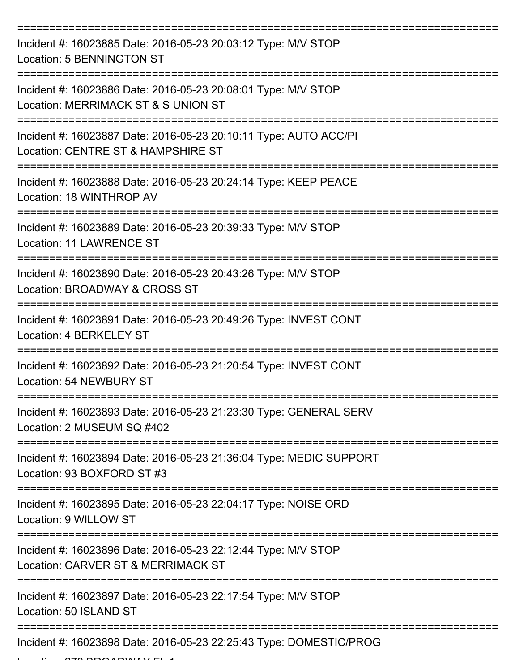| Incident #: 16023885 Date: 2016-05-23 20:03:12 Type: M/V STOP<br>Location: 5 BENNINGTON ST             |
|--------------------------------------------------------------------------------------------------------|
| Incident #: 16023886 Date: 2016-05-23 20:08:01 Type: M/V STOP<br>Location: MERRIMACK ST & S UNION ST   |
| Incident #: 16023887 Date: 2016-05-23 20:10:11 Type: AUTO ACC/PI<br>Location: CENTRE ST & HAMPSHIRE ST |
| Incident #: 16023888 Date: 2016-05-23 20:24:14 Type: KEEP PEACE<br>Location: 18 WINTHROP AV            |
| Incident #: 16023889 Date: 2016-05-23 20:39:33 Type: M/V STOP<br><b>Location: 11 LAWRENCE ST</b>       |
| Incident #: 16023890 Date: 2016-05-23 20:43:26 Type: M/V STOP<br>Location: BROADWAY & CROSS ST         |
| Incident #: 16023891 Date: 2016-05-23 20:49:26 Type: INVEST CONT<br>Location: 4 BERKELEY ST            |
| Incident #: 16023892 Date: 2016-05-23 21:20:54 Type: INVEST CONT<br>Location: 54 NEWBURY ST            |
| Incident #: 16023893 Date: 2016-05-23 21:23:30 Type: GENERAL SERV<br>Location: 2 MUSEUM SQ #402        |
| Incident #: 16023894 Date: 2016-05-23 21:36:04 Type: MEDIC SUPPORT<br>Location: 93 BOXFORD ST #3       |
| Incident #: 16023895 Date: 2016-05-23 22:04:17 Type: NOISE ORD<br>Location: 9 WILLOW ST                |
| Incident #: 16023896 Date: 2016-05-23 22:12:44 Type: M/V STOP<br>Location: CARVER ST & MERRIMACK ST    |
| Incident #: 16023897 Date: 2016-05-23 22:17:54 Type: M/V STOP<br>Location: 50 ISLAND ST                |
| Incident #: 16023898 Date: 2016-05-23 22:25:43 Type: DOMESTIC/PROG                                     |

 $L$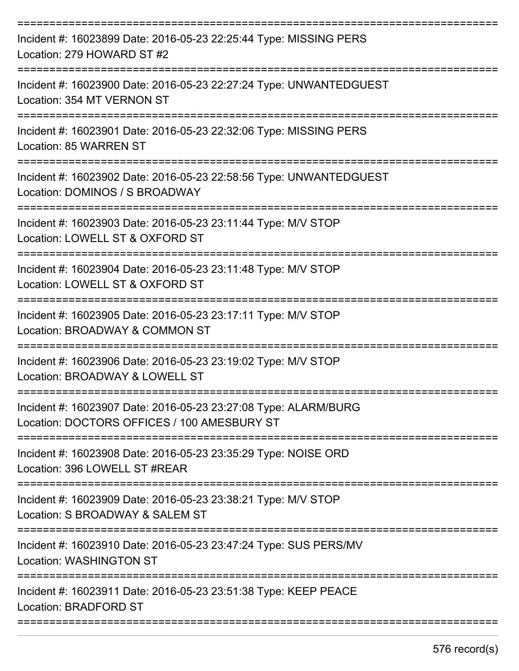| Incident #: 16023899 Date: 2016-05-23 22:25:44 Type: MISSING PERS<br>Location: 279 HOWARD ST #2                |
|----------------------------------------------------------------------------------------------------------------|
| Incident #: 16023900 Date: 2016-05-23 22:27:24 Type: UNWANTEDGUEST<br>Location: 354 MT VERNON ST               |
| Incident #: 16023901 Date: 2016-05-23 22:32:06 Type: MISSING PERS<br>Location: 85 WARREN ST                    |
| Incident #: 16023902 Date: 2016-05-23 22:58:56 Type: UNWANTEDGUEST<br>Location: DOMINOS / S BROADWAY           |
| Incident #: 16023903 Date: 2016-05-23 23:11:44 Type: M/V STOP<br>Location: LOWELL ST & OXFORD ST               |
| Incident #: 16023904 Date: 2016-05-23 23:11:48 Type: M/V STOP<br>Location: LOWELL ST & OXFORD ST               |
| Incident #: 16023905 Date: 2016-05-23 23:17:11 Type: M/V STOP<br>Location: BROADWAY & COMMON ST                |
| Incident #: 16023906 Date: 2016-05-23 23:19:02 Type: M/V STOP<br>Location: BROADWAY & LOWELL ST                |
| Incident #: 16023907 Date: 2016-05-23 23:27:08 Type: ALARM/BURG<br>Location: DOCTORS OFFICES / 100 AMESBURY ST |
| Incident #: 16023908 Date: 2016-05-23 23:35:29 Type: NOISE ORD<br>Location: 396 LOWELL ST #REAR                |
| Incident #: 16023909 Date: 2016-05-23 23:38:21 Type: M/V STOP<br>Location: S BROADWAY & SALEM ST               |
| Incident #: 16023910 Date: 2016-05-23 23:47:24 Type: SUS PERS/MV<br><b>Location: WASHINGTON ST</b>             |
| Incident #: 16023911 Date: 2016-05-23 23:51:38 Type: KEEP PEACE<br>Location: BRADFORD ST                       |